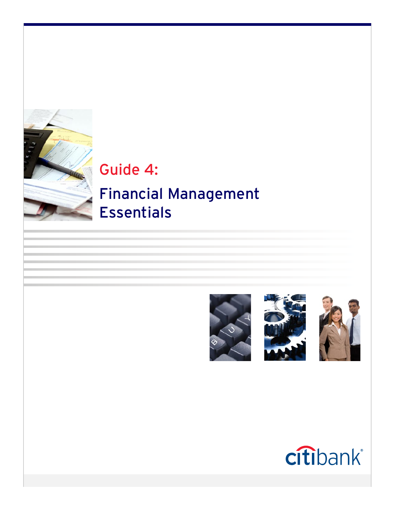

Guide 4:

# Financial Management Essentials







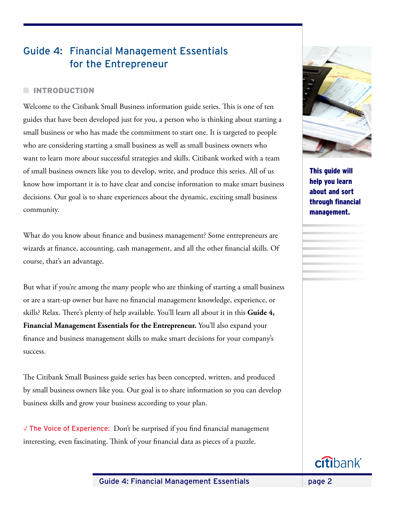# Guide 4: Financial Management Essentials for the Entrepreneur

# **NITRODUCTION**

Welcome to the Citibank Small Business information guide series. This is one of ten guides that have been developed just for you, a person who is thinking about starting a small business or who has made the commitment to start one. It is targeted to people who are considering starting a small business as well as small business owners who want to learn more about successful strategies and skills. Citibank worked with a team of small business owners like you to develop, write, and produce this series. All of us know how important it is to have clear and concise information to make smart business decisions. Our goal is to share experiences about the dynamic, exciting small business community.

What do you know about finance and business management? Some entrepreneurs are wizards at finance, accounting, cash management, and all the other financial skills. Of course, that's an advantage.

But what if you're among the many people who are thinking of starting a small business or are a start-up owner but have no financial management knowledge, experience, or skills? Relax. There's plenty of help available. You'll learn all about it in this **Guide 4, Financial Management Essentials for the Entrepreneur.** You'll also expand your finance and business management skills to make smart decisions for your company's success.

The Citibank Small Business guide series has been concepted, written, and produced by small business owners like you. Our goal is to share information so you can develop business skills and grow your business according to your plan.

√ The Voice of Experience: Don't be surprised if you find financial management interesting, even fascinating. Think of your financial data as pieces of a puzzle.



This guide will help you learn about and sort through financial management.

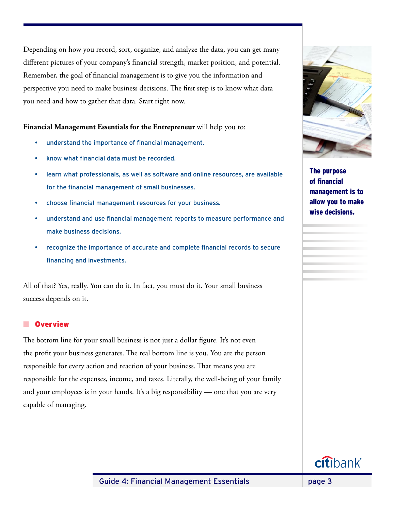Depending on how you record, sort, organize, and analyze the data, you can get many different pictures of your company's financial strength, market position, and potential. Remember, the goal of financial management is to give you the information and perspective you need to make business decisions. The first step is to know what data you need and how to gather that data. Start right now.

# **Financial Management Essentials for the Entrepreneur** will help you to:

- understand the importance of financial management.
- know what financial data must be recorded.
- learn what professionals, as well as software and online resources, are available for the financial management of small businesses.
- choose financial management resources for your business.
- understand and use financial management reports to measure performance and make business decisions.
- recognize the importance of accurate and complete financial records to secure financing and investments.

All of that? Yes, really. You can do it. In fact, you must do it. Your small business success depends on it.

# **n** Overview

The bottom line for your small business is not just a dollar figure. It's not even the profit your business generates. The real bottom line is you. You are the person responsible for every action and reaction of your business. That means you are responsible for the expenses, income, and taxes. Literally, the well-being of your family and your employees is in your hands. It's a big responsibility — one that you are very capable of managing.



The purpose of financial management is to allow you to make wise decisions.

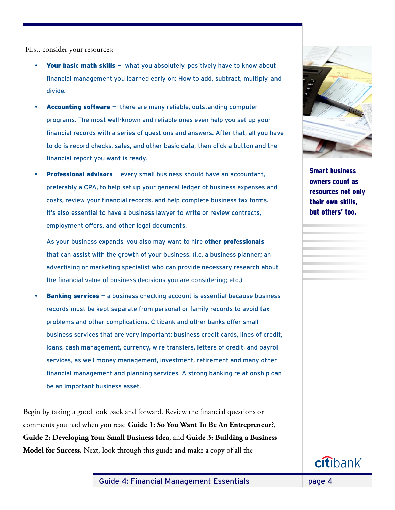First, consider your resources:

- Your basic math skills what you absolutely, positively have to know about financial management you learned early on: How to add, subtract, multiply, and divide.
- **Accounting software**  $-$  there are many reliable, outstanding computer programs. The most well-known and reliable ones even help you set up your financial records with a series of questions and answers. After that, all you have to do is record checks, sales, and other basic data, then click a button and the financial report you want is ready.
- **Professional advisors**  $-$  every small business should have an accountant, preferably a CPA, to help set up your general ledger of business expenses and costs, review your financial records, and help complete business tax forms. It's also essential to have a business lawyer to write or review contracts, employment offers, and other legal documents.

As your business expands, you also may want to hire other professionals that can assist with the growth of your business. (i.e. a business planner; an advertising or marketing specialist who can provide necessary research about the financial value of business decisions you are considering; etc.)

**Banking services**  $-$  a business checking account is essential because business records must be kept separate from personal or family records to avoid tax problems and other complications. Citibank and other banks offer small business services that are very important: business credit cards, lines of credit, loans, cash management, currency, wire transfers, letters of credit, and payroll services, as well money management, investment, retirement and many other financial management and planning services. A strong banking relationship can be an important business asset.

Begin by taking a good look back and forward. Review the financial questions or comments you had when you read **Guide 1: So You Want To Be An Entrepreneur?**, **Guide 2: Developing Your Small Business Idea**, and **Guide 3: Building a Business Model for Success.** Next, look through this guide and make a copy of all the



Smart business owners count as resources not only their own skills, but others' too.

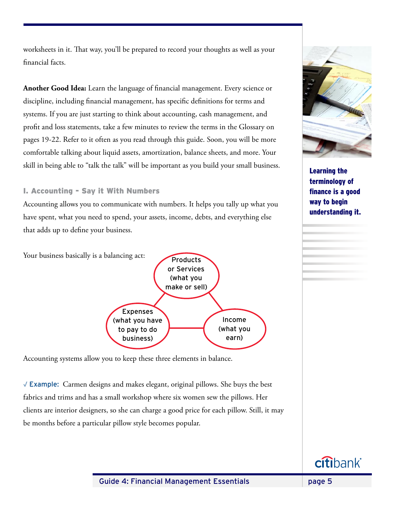worksheets in it. That way, you'll be prepared to record your thoughts as well as your financial facts.

**Another Good Idea:** Learn the language of financial management. Every science or discipline, including financial management, has specific definitions for terms and systems. If you are just starting to think about accounting, cash management, and profit and loss statements, take a few minutes to review the terms in the Glossary on pages 19-22. Refer to it often as you read through this guide. Soon, you will be more comfortable talking about liquid assets, amortization, balance sheets, and more. Your skill in being able to "talk the talk" will be important as you build your small business.

# I. Accounting - Say it With Numbers

Accounting allows you to communicate with numbers. It helps you tally up what you have spent, what you need to spend, your assets, income, debts, and everything else that adds up to define your business.

Your business basically is a balancing act:



Accounting systems allow you to keep these three elements in balance.

√ Example: Carmen designs and makes elegant, original pillows. She buys the best fabrics and trims and has a small workshop where six women sew the pillows. Her clients are interior designers, so she can charge a good price for each pillow. Still, it may be months before a particular pillow style becomes popular.



Learning the terminology of finance is a good way to begin understanding it.

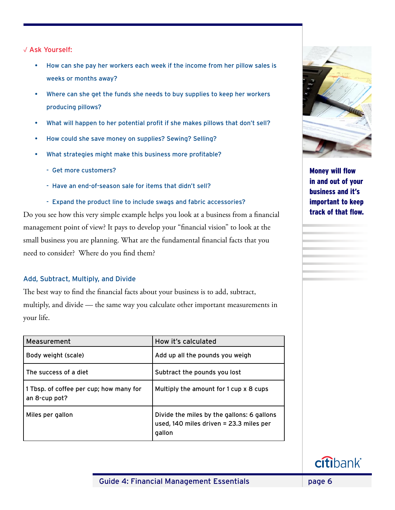√ Ask Yourself:

- How can she pay her workers each week if the income from her pillow sales is weeks or months away?
- Where can she get the funds she needs to buy supplies to keep her workers producing pillows?
- What will happen to her potential profit if she makes pillows that don't sell?
- How could she save money on supplies? Sewing? Selling?
- What strategies might make this business more profitable?
	- Get more customers?
	- Have an end-of-season sale for items that didn't sell?
	- Expand the product line to include swags and fabric accessories?

Do you see how this very simple example helps you look at a business from a financial management point of view? It pays to develop your "financial vision" to look at the small business you are planning. What are the fundamental financial facts that you need to consider? Where do you find them?

# Add, Subtract, Multiply, and Divide

The best way to find the financial facts about your business is to add, subtract, multiply, and divide — the same way you calculate other important measurements in your life.

| Measurement                                              | How it's calculated                                                                             |
|----------------------------------------------------------|-------------------------------------------------------------------------------------------------|
| Body weight (scale)                                      | Add up all the pounds you weigh                                                                 |
| The success of a diet                                    | Subtract the pounds you lost                                                                    |
| 1 Tbsp. of coffee per cup; how many for<br>an 8-cup pot? | Multiply the amount for 1 cup x 8 cups                                                          |
| Miles per gallon                                         | Divide the miles by the gallons: 6 gallons<br>used, 140 miles driven = 23.3 miles per<br>gallon |



Money will flow in and out of your business and it's important to keep track of that flow.

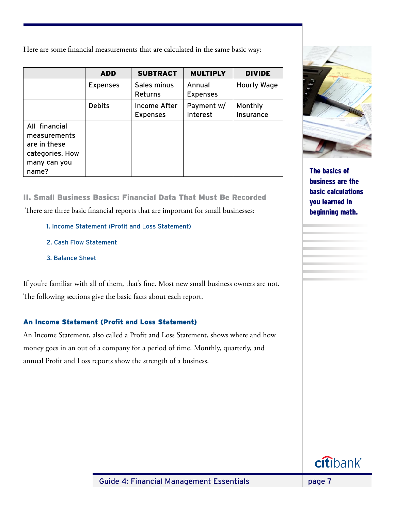Here are some financial measurements that are calculated in the same basic way:

|                                                                                           | <b>ADD</b>      | <b>SUBTRACT</b>                 | <b>MULTIPLY</b>           | <b>DIVIDE</b>        |
|-------------------------------------------------------------------------------------------|-----------------|---------------------------------|---------------------------|----------------------|
|                                                                                           | <b>Expenses</b> | Sales minus<br>Returns          | Annual<br><b>Expenses</b> | <b>Hourly Wage</b>   |
|                                                                                           | <b>Debits</b>   | Income After<br><b>Expenses</b> | Payment w/<br>Interest    | Monthly<br>Insurance |
| All financial<br>measurements<br>are in these<br>categories. How<br>many can you<br>name? |                 |                                 |                           |                      |

II. Small Business Basics: Financial Data That Must Be Recorded There are three basic financial reports that are important for small businesses:

- 1. Income Statement (Profit and Loss Statement)
- 2. Cash Flow Statement
- 3. Balance Sheet

If you're familiar with all of them, that's fine. Most new small business owners are not. The following sections give the basic facts about each report.

# An Income Statement (Profit and Loss Statement)

An Income Statement, also called a Profit and Loss Statement, shows where and how money goes in an out of a company for a period of time. Monthly, quarterly, and annual Profit and Loss reports show the strength of a business.



The basics of business are the basic calculations you learned in beginning math.

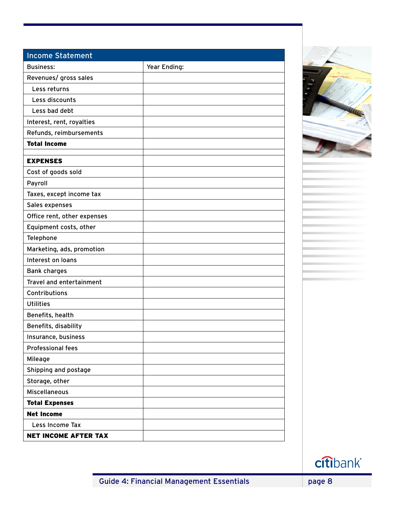| <b>Income Statement</b>     |              |
|-----------------------------|--------------|
| <b>Business:</b>            | Year Ending: |
| Revenues/ gross sales       |              |
| Less returns                |              |
| Less discounts              |              |
| Less bad debt               |              |
| Interest, rent, royalties   |              |
| Refunds, reimbursements     |              |
| <b>Total Income</b>         |              |
| <b>EXPENSES</b>             |              |
| Cost of goods sold          |              |
| Payroll                     |              |
| Taxes, except income tax    |              |
| Sales expenses              |              |
| Office rent, other expenses |              |
| Equipment costs, other      |              |
| Telephone                   |              |
| Marketing, ads, promotion   |              |
| Interest on loans           |              |
| <b>Bank charges</b>         |              |
| Travel and entertainment    |              |
| Contributions               |              |
| <b>Utilities</b>            |              |
| Benefits, health            |              |
| Benefits, disability        |              |
| Insurance, business         |              |
| <b>Professional fees</b>    |              |
| Mileage                     |              |
| Shipping and postage        |              |
| Storage, other              |              |
| <b>Miscellaneous</b>        |              |
| <b>Total Expenses</b>       |              |
| <b>Net Income</b>           |              |
| Less Income Tax             |              |
| <b>NET INCOME AFTER TAX</b> |              |



citibank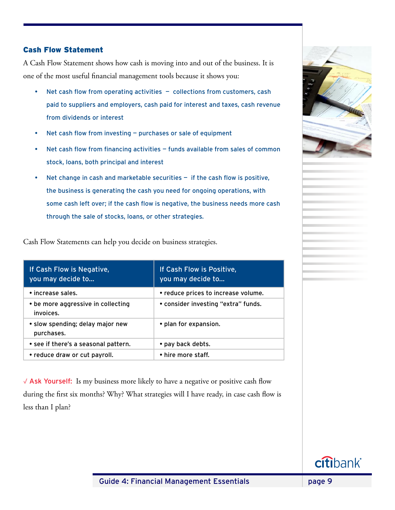# Cash Flow Statement

A Cash Flow Statement shows how cash is moving into and out of the business. It is one of the most useful financial management tools because it shows you:

- Net cash flow from operating activities  $-$  collections from customers, cash paid to suppliers and employers, cash paid for interest and taxes, cash revenue from dividends or interest
- Net cash flow from investing  $-$  purchases or sale of equipment
- Net cash flow from financing activities  $-$  funds available from sales of common stock, loans, both principal and interest
- Net change in cash and marketable securities  $-$  if the cash flow is positive, the business is generating the cash you need for ongoing operations, with some cash left over; if the cash flow is negative, the business needs more cash through the sale of stocks, loans, or other strategies.

| If Cash Flow is Negative, | If Cash Flow is Positive, |
|---------------------------|---------------------------|

Cash Flow Statements can help you decide on business strategies.

| you may decide to                               | you may decide to                   |
|-------------------------------------------------|-------------------------------------|
| • increase sales.                               | • reduce prices to increase volume. |
| • be more aggressive in collecting<br>invoices. | • consider investing "extra" funds. |
| • slow spending; delay major new<br>purchases.  | • plan for expansion.               |
| • see if there's a seasonal pattern.            | • pay back debts.                   |
| • reduce draw or cut payroll.                   | • hire more staff.                  |

√ Ask Yourself: Is my business more likely to have a negative or positive cash flow during the first six months? Why? What strategies will I have ready, in case cash flow is less than I plan?

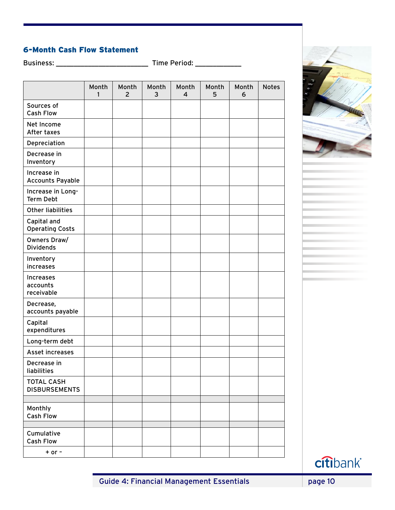# 6-Month Cash Flow Statement

Business: \_\_\_\_\_\_\_\_\_\_\_\_\_\_\_\_\_\_\_\_\_\_\_\_\_\_ Time Period: \_\_\_\_\_\_\_\_\_\_\_\_\_

|                                           | Month<br>1 | Month<br>$\overline{2}$ | Month<br>3 | Month<br>4 | Month<br>5 | Month<br>6 | <b>Notes</b> |
|-------------------------------------------|------------|-------------------------|------------|------------|------------|------------|--------------|
| Sources of<br><b>Cash Flow</b>            |            |                         |            |            |            |            |              |
| Net Income<br>After taxes                 |            |                         |            |            |            |            |              |
| Depreciation                              |            |                         |            |            |            |            |              |
| Decrease in<br>Inventory                  |            |                         |            |            |            |            |              |
| Increase in<br><b>Accounts Payable</b>    |            |                         |            |            |            |            |              |
| Increase in Long-<br><b>Term Debt</b>     |            |                         |            |            |            |            |              |
| <b>Other liabilities</b>                  |            |                         |            |            |            |            |              |
| Capital and<br><b>Operating Costs</b>     |            |                         |            |            |            |            |              |
| Owners Draw/<br><b>Dividends</b>          |            |                         |            |            |            |            |              |
| Inventory<br>increases                    |            |                         |            |            |            |            |              |
| Increases<br>accounts<br>receivable       |            |                         |            |            |            |            |              |
| Decrease,<br>accounts payable             |            |                         |            |            |            |            |              |
| Capital<br>expenditures                   |            |                         |            |            |            |            |              |
| Long-term debt                            |            |                         |            |            |            |            |              |
| Asset increases                           |            |                         |            |            |            |            |              |
| Decrease in<br>liabilities                |            |                         |            |            |            |            |              |
| <b>TOTAL CASH</b><br><b>DISBURSEMENTS</b> |            |                         |            |            |            |            |              |
| Monthly<br><b>Cash Flow</b>               |            |                         |            |            |            |            |              |
| Cumulative<br><b>Cash Flow</b>            |            |                         |            |            |            |            |              |
| $+$ or $-$                                |            |                         |            |            |            |            |              |



citibank®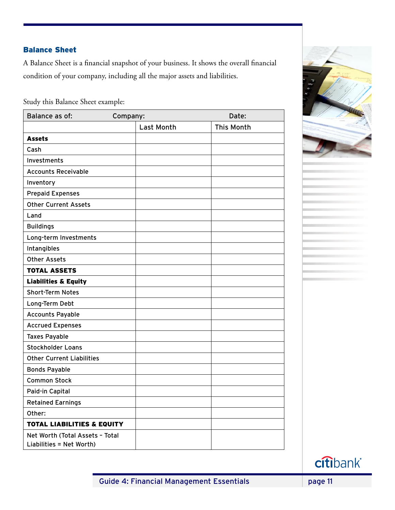# Balance Sheet

A Balance Sheet is a financial snapshot of your business. It shows the overall financial condition of your company, including all the major assets and liabilities.

Study this Balance Sheet example:

| Balance as of:                                              | Company:          | Date:             |
|-------------------------------------------------------------|-------------------|-------------------|
|                                                             | <b>Last Month</b> | <b>This Month</b> |
| <b>Assets</b>                                               |                   |                   |
| Cash                                                        |                   |                   |
| Investments                                                 |                   |                   |
| <b>Accounts Receivable</b>                                  |                   |                   |
| Inventory                                                   |                   |                   |
| <b>Prepaid Expenses</b>                                     |                   |                   |
| <b>Other Current Assets</b>                                 |                   |                   |
| Land                                                        |                   |                   |
| <b>Buildings</b>                                            |                   |                   |
| Long-term Investments                                       |                   |                   |
| Intangibles                                                 |                   |                   |
| <b>Other Assets</b>                                         |                   |                   |
| <b>TOTAL ASSETS</b>                                         |                   |                   |
| <b>Liabilities &amp; Equity</b>                             |                   |                   |
| <b>Short-Term Notes</b>                                     |                   |                   |
| Long-Term Debt                                              |                   |                   |
| <b>Accounts Payable</b>                                     |                   |                   |
| <b>Accrued Expenses</b>                                     |                   |                   |
| <b>Taxes Payable</b>                                        |                   |                   |
| <b>Stockholder Loans</b>                                    |                   |                   |
| <b>Other Current Liabilities</b>                            |                   |                   |
| <b>Bonds Payable</b>                                        |                   |                   |
| <b>Common Stock</b>                                         |                   |                   |
| Paid-in Capital                                             |                   |                   |
| <b>Retained Earnings</b>                                    |                   |                   |
| Other:                                                      |                   |                   |
| <b>TOTAL LIABILITIES &amp; EQUITY</b>                       |                   |                   |
| Net Worth (Total Assets - Total<br>Liabilities = Net Worth) |                   |                   |



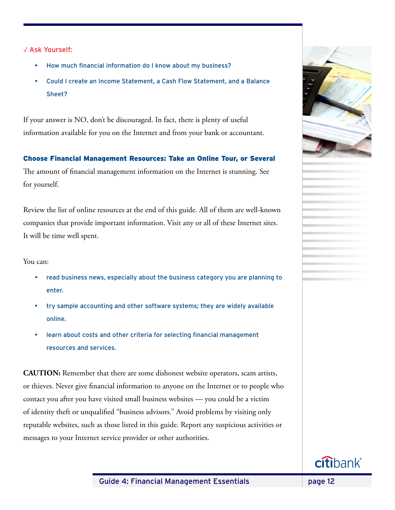√ Ask Yourself:

- How much financial information do I know about my business?
- Could I create an Income Statement, a Cash Flow Statement, and a Balance Sheet?

If your answer is NO, don't be discouraged. In fact, there is plenty of useful information available for you on the Internet and from your bank or accountant.

# Choose Financial Management Resources: Take an Online Tour, or Several

The amount of financial management information on the Internet is stunning. See for yourself.

Review the list of online resources at the end of this guide. All of them are well-known companies that provide important information. Visit any or all of these Internet sites. It will be time well spent.

You can:

- read business news, especially about the business category you are planning to enter.
- try sample accounting and other software systems; they are widely available online.
- learn about costs and other criteria for selecting financial management resources and services.

**CAUTION:** Remember that there are some dishonest website operators, scam artists, or thieves. Never give financial information to anyone on the Internet or to people who contact you after you have visited small business websites — you could be a victim of identity theft or unqualified "business advisors." Avoid problems by visiting only reputable websites, such as those listed in this guide. Report any suspicious activities or messages to your Internet service provider or other authorities.

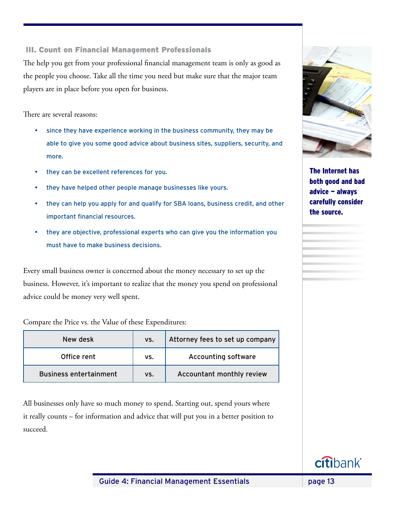# III. Count on Financial Management Professionals

The help you get from your professional financial management team is only as good as the people you choose. Take all the time you need but make sure that the major team players are in place before you open for business.

There are several reasons:

- since they have experience working in the business community, they may be able to give you some good advice about business sites, suppliers, security, and more.
- they can be excellent references for you.
- they have helped other people manage businesses like yours.
- they can help you apply for and qualify for SBA loans, business credit, and other important financial resources.
- they are objective, professional experts who can give you the information you must have to make business decisions.

Every small business owner is concerned about the money necessary to set up the business. However, it's important to realize that the money you spend on professional advice could be money very well spent.

Compare the Price vs. the Value of these Expenditures:

| New desk                      | VS. | Attorney fees to set up company |
|-------------------------------|-----|---------------------------------|
| Office rent                   | VS. | <b>Accounting software</b>      |
| <b>Business entertainment</b> | VS. | Accountant monthly review       |

All businesses only have so much money to spend. Starting out, spend yours where it really counts – for information and advice that will put you in a better position to succeed.



The Internet has both good and bad advice — always carefully consider the source.

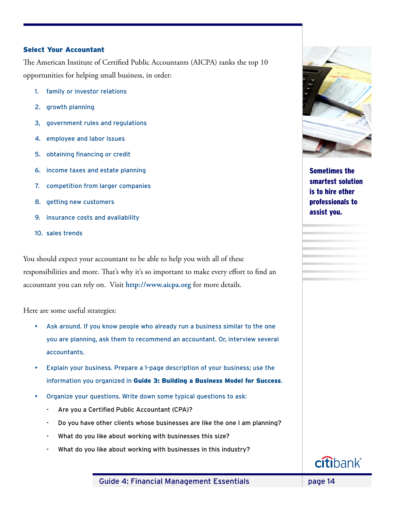#### Select Your Accountant

The American Institute of Certified Public Accountants (AICPA) ranks the top 10 opportunities for helping small business, in order:

- 1. family or investor relations
- 2. growth planning
- 3, government rules and regulations
- 4. employee and labor issues
- 5. obtaining financing or credit
- 6. income taxes and estate planning
- 7. competition from larger companies
- 8. getting new customers
- 9. insurance costs and availability
- 10. sales trends

You should expect your accountant to be able to help you with all of these responsibilities and more. That's why it's so important to make every effort to find an accountant you can rely on. Visit **http://www.aicpa.org** for more details.

Here are some useful strategies:

- Ask around. If you know people who already run a business similar to the one you are planning, ask them to recommend an accountant. Or, interview several accountants.
- Explain your business. Prepare a 1-page description of your business; use the information you organized in Guide 3: Building a Business Model for Success.
- Organize your questions. Write down some typical questions to ask:
	- Are you a Certified Public Accountant (CPA)?
	- Do you have other clients whose businesses are like the one I am planning?
	- What do you like about working with businesses this size?
	- What do you like about working with businesses in this industry?



Sometimes the smartest solution is to hire other professionals to assist you.

Guide 4: Financial Management Essentials **page 14** 

**citibank**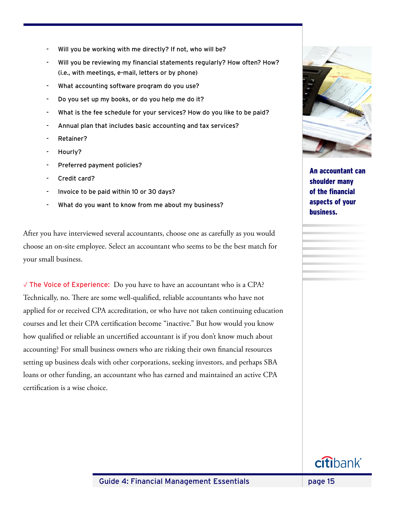- Will you be working with me directly? If not, who will be?
- Will you be reviewing my financial statements regularly? How often? How? (i.e., with meetings, e-mail, letters or by phone)
- What accounting software program do you use?
- Do you set up my books, or do you help me do it?
- What is the fee schedule for your services? How do you like to be paid?
- Annual plan that includes basic accounting and tax services?
- Retainer?
- Hourly?
- Preferred payment policies?
- Credit card?
- Invoice to be paid within 10 or 30 days?
- What do you want to know from me about my business?

After you have interviewed several accountants, choose one as carefully as you would choose an on-site employee. Select an accountant who seems to be the best match for your small business.

√ The Voice of Experience: Do you have to have an accountant who is a CPA? Technically, no. There are some well-qualified, reliable accountants who have not applied for or received CPA accreditation, or who have not taken continuing education courses and let their CPA certification become "inactive." But how would you know how qualified or reliable an uncertified accountant is if you don't know much about accounting? For small business owners who are risking their own financial resources setting up business deals with other corporations, seeking investors, and perhaps SBA loans or other funding, an accountant who has earned and maintained an active CPA certification is a wise choice.



An accountant can shoulder many of the financial aspects of your business.

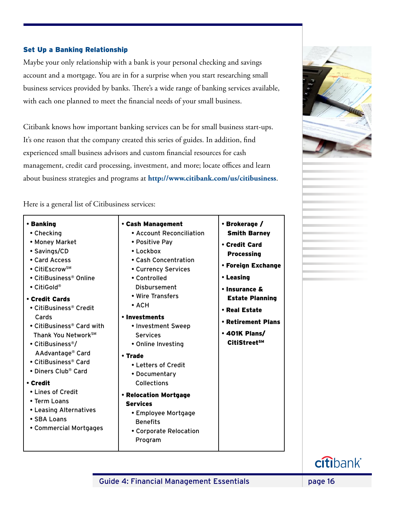# Set Up a Banking Relationship

Maybe your only relationship with a bank is your personal checking and savings account and a mortgage. You are in for a surprise when you start researching small business services provided by banks. There's a wide range of banking services available, with each one planned to meet the financial needs of your small business.

Citibank knows how important banking services can be for small business start-ups. It's one reason that the company created this series of guides. In addition, find experienced small business advisors and custom financial resources for cash management, credit card processing, investment, and more; locate offices and learn about business strategies and programs at **http://www.citibank.com/us/citibusiness**.

Here is a general list of Citibusiness services:

| • Banking                          | • Cash Management        | • Brokerage $/$          |
|------------------------------------|--------------------------|--------------------------|
| • Checking                         | • Account Reconciliation | <b>Smith Barney</b>      |
| • Money Market                     | • Positive Pay           | • Credit Card            |
| • Savings/CD                       | $\cdot$ Lockbox          | <b>Processing</b>        |
| • Card Access                      | • Cash Concentration     |                          |
| $\bullet$ CitiEscrow <sup>sM</sup> | • Currency Services      | • Foreign Exchange       |
| • CitiBusiness® Online             | • Controlled             | • Leasing                |
| $\bullet$ CitiGold®                | Disbursement             | • Insurance &            |
| • Credit Cards                     | • Wire Transfers         | <b>Estate Planning</b>   |
| • CitiBusiness® Credit             | $\bullet$ ACH            | • Real Estate            |
| Cards                              | • Investments            | • Retirement Plans       |
| • CitiBusiness® Card with          | • Investment Sweep       |                          |
| Thank You Network <sup>SM</sup>    | <b>Services</b>          | • 401K Plans/            |
| • CitiBusiness <sup>®</sup> /      | • Online Investing       | CitiStreet <sup>sM</sup> |
| AAdvantage <sup>®</sup> Card       | • Trade                  |                          |
| • CitiBusiness® Card               | • Letters of Credit      |                          |
| • Diners Club® Card                | • Documentary            |                          |
| • Credit                           | Collections              |                          |
| • Lines of Credit<br>• Term Loans  | • Relocation Mortgage    |                          |
| • Leasing Alternatives             | <b>Services</b>          |                          |
| • SBA Loans                        | • Employee Mortgage      |                          |
| • Commercial Mortgages             | <b>Benefits</b>          |                          |
|                                    | • Corporate Relocation   |                          |
|                                    | Program                  |                          |

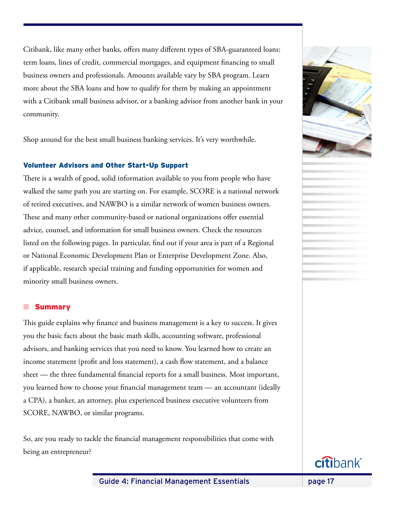Citibank, like many other banks, offers many different types of SBA-guaranteed loans: term loans, lines of credit, commercial mortgages, and equipment financing to small business owners and professionals. Amounts available vary by SBA program. Learn more about the SBA loans and how to qualify for them by making an appointment with a Citibank small business advisor, or a banking advisor from another bank in your community.

Shop around for the best small business banking services. It's very worthwhile.

# Volunteer Advisors and Other Start-Up Support

There is a wealth of good, solid information available to you from people who have walked the same path you are starting on. For example, SCORE is a national network of retired executives, and NAWBO is a similar network of women business owners. These and many other community-based or national organizations offer essential advice, counsel, and information for small business owners. Check the resources listed on the following pages. In particular, find out if your area is part of a Regional or National Economic Development Plan or Enterprise Development Zone. Also, if applicable, research special training and funding opportunities for women and minority small business owners.

#### **n** Summary

This guide explains why finance and business management is a key to success. It gives you the basic facts about the basic math skills, accounting software, professional advisors, and banking services that you need to know. You learned how to create an income statement (profit and loss statement), a cash flow statement, and a balance sheet — the three fundamental financial reports for a small business. Most important, you learned how to choose your financial management team — an accountant (ideally a CPA), a banker, an attorney, plus experienced business executive volunteers from SCORE, NAWBO, or similar programs.

So, are you ready to tackle the financial management responsibilities that come with being an entrepreneur?



Guide 4: Financial Management Essentials **page 17** 

citibank®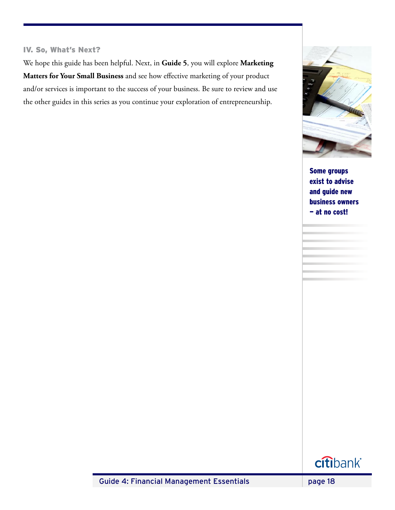# IV. So, What's Next?

We hope this guide has been helpful. Next, in **Guide 5**, you will explore **Marketing Matters for Your Small Business** and see how effective marketing of your product and/or services is important to the success of your business. Be sure to review and use the other guides in this series as you continue your exploration of entrepreneurship.



Some groups exist to advise and guide new business owners — at no cost!



Guide 4: Financial Management Essentials **page 18**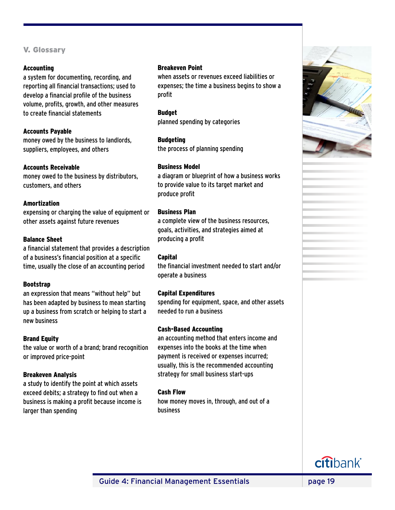# V. Glossary

#### Accounting

a system for documenting, recording, and reporting all financial transactions; used to develop a financial profile of the business volume, profits, growth, and other measures to create financial statements

# Accounts Payable

money owed by the business to landlords, suppliers, employees, and others

#### Accounts Receivable

money owed to the business by distributors, customers, and others

# Amortization

expensing or charging the value of equipment or other assets against future revenues

# Balance Sheet

a financial statement that provides a description of a business's financial position at a specific time, usually the close of an accounting period

#### Bootstrap

an expression that means "without help" but has been adapted by business to mean starting up a business from scratch or helping to start a new business

# Brand Equity

the value or worth of a brand; brand recognition or improved price-point

#### Breakeven Analysis

a study to identify the point at which assets exceed debits; a strategy to find out when a business is making a profit because income is larger than spending

#### Breakeven Point

when assets or revenues exceed liabilities or expenses; the time a business begins to show a profit

Budget planned spending by categories

Budgeting the process of planning spending

# Business Model

a diagram or blueprint of how a business works to provide value to its target market and produce profit

# Business Plan

a complete view of the business resources, goals, activities, and strategies aimed at producing a profit

#### Capital

the financial investment needed to start and/or operate a business

#### Capital Expenditures

spending for equipment, space, and other assets needed to run a business

# Cash-Based Accounting

an accounting method that enters income and expenses into the books at the time when payment is received or expenses incurred; usually, this is the recommended accounting strategy for small business start-ups

#### Cash Flow

how money moves in, through, and out of a business

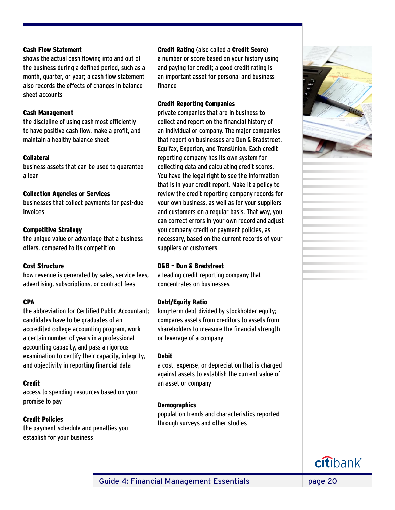#### Cash Flow Statement

shows the actual cash flowing into and out of the business during a defined period, such as a month, quarter, or year; a cash flow statement also records the effects of changes in balance sheet accounts

#### Cash Management

the discipline of using cash most efficiently to have positive cash flow, make a profit, and maintain a healthy balance sheet

#### Collateral

business assets that can be used to guarantee a loan

#### Collection Agencies or Services

businesses that collect payments for past-due invoices

# Competitive Strategy

the unique value or advantage that a business offers, compared to its competition

#### Cost Structure

how revenue is generated by sales, service fees, advertising, subscriptions, or contract fees

# **CPA**

the abbreviation for Certified Public Accountant; candidates have to be graduates of an accredited college accounting program, work a certain number of years in a professional accounting capacity, and pass a rigorous examination to certify their capacity, integrity, and objectivity in reporting financial data

#### Credit

access to spending resources based on your promise to pay

# Credit Policies

the payment schedule and penalties you establish for your business

# Credit Rating (also called a Credit Score)

a number or score based on your history using and paying for credit; a good credit rating is an important asset for personal and business finance

# Credit Reporting Companies

private companies that are in business to collect and report on the financial history of an individual or company. The major companies that report on businesses are Dun & Bradstreet, Equifax, Experian, and TransUnion. Each credit reporting company has its own system for collecting data and calculating credit scores. You have the legal right to see the information that is in your credit report. Make it a policy to review the credit reporting company records for your own business, as well as for your suppliers and customers on a regular basis. That way, you can correct errors in your own record and adjust you company credit or payment policies, as necessary, based on the current records of your suppliers or customers.

#### D&B – Dun & Bradstreet

a leading credit reporting company that concentrates on businesses

# Debt/Equity Ratio

long-term debt divided by stockholder equity; compares assets from creditors to assets from shareholders to measure the financial strength or leverage of a company

#### Debit

a cost, expense, or depreciation that is charged against assets to establish the current value of an asset or company

#### **Demographics**

population trends and characteristics reported through surveys and other studies



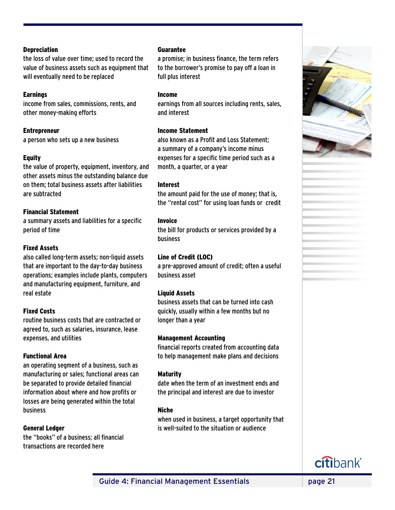#### **Depreciation**

the loss of value over time; used to record the value of business assets such as equipment that will eventually need to be replaced

# **Earnings**

income from sales, commissions, rents, and other money-making efforts

Entrepreneur

a person who sets up a new business

# **Equity**

the value of property, equipment, inventory, and other assets minus the outstanding balance due on them; total business assets after liabilities are subtracted

# Financial Statement

a summary assets and liabilities for a specific period of time

# Fixed Assets

also called long-term assets; non-liquid assets that are important to the day-to-day business operations; examples include plants, computers and manufacturing equipment, furniture, and real estate

# Fixed Costs

routine business costs that are contracted or agreed to, such as salaries, insurance, lease expenses, and utilities

#### Functional Area

an operating segment of a business, such as manufacturing or sales; functional areas can be separated to provide detailed financial information about where and how profits or losses are being generated within the total business

#### General Ledger

the "books" of a business; all financial transactions are recorded here

#### Guarantee

a promise; in business finance, the term refers to the borrower's promise to pay off a loan in full plus interest

#### Income

earnings from all sources including rents, sales, and interest

# Income Statement

also known as a Profit and Loss Statement; a summary of a company's income minus expenses for a specific time period such as a month, a quarter, or a year

# Interest

the amount paid for the use of money; that is, the "rental cost" for using loan funds or credit

# Invoice

the bill for products or services provided by a business

#### Line of Credit (LOC)

a pre-approved amount of credit; often a useful business asset

# Liquid Assets

business assets that can be turned into cash quickly, usually within a few months but no longer than a year

#### Management Accounting

financial reports created from accounting data to help management make plans and decisions

#### Maturity

date when the term of an investment ends and the principal and interest are due to investor

#### Niche

when used in business, a target opportunity that is well-suited to the situation or audience



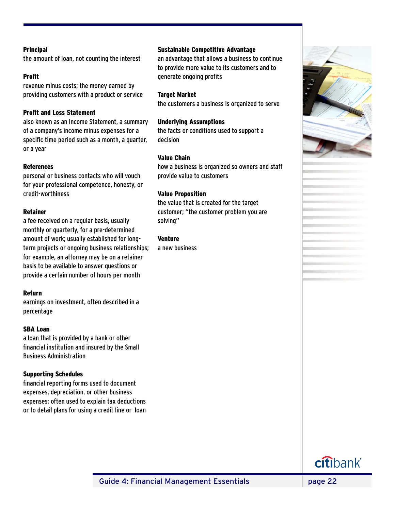#### Principal

the amount of loan, not counting the interest

#### Profit

revenue minus costs; the money earned by providing customers with a product or service

# Profit and Loss Statement

also known as an Income Statement, a summary of a company's income minus expenses for a specific time period such as a month, a quarter, or a year

#### References

personal or business contacts who will vouch for your professional competence, honesty, or credit-worthiness

#### Retainer

a fee received on a regular basis, usually monthly or quarterly, for a pre-determined amount of work; usually established for longterm projects or ongoing business relationships; for example, an attorney may be on a retainer basis to be available to answer questions or provide a certain number of hours per month

#### Return

earnings on investment, often described in a percentage

# SBA Loan

a loan that is provided by a bank or other financial institution and insured by the Small Business Administration

#### Supporting Schedules

financial reporting forms used to document expenses, depreciation, or other business expenses; often used to explain tax deductions or to detail plans for using a credit line or loan

#### Sustainable Competitive Advantage

an advantage that allows a business to continue to provide more value to its customers and to generate ongoing profits

#### Target Market

the customers a business is organized to serve

#### Underlying Assumptions

the facts or conditions used to support a decision

#### Value Chain

how a business is organized so owners and staff provide value to customers

#### Value Proposition

the value that is created for the target customer; "the customer problem you are solving"

Venture

a new business



Guide 4: Financial Management Essentials **page 22**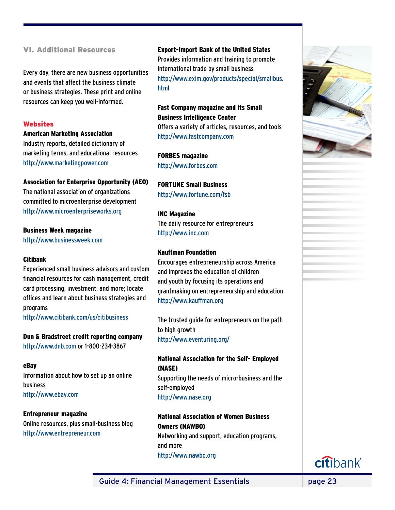# VI. Additional Resources

Every day, there are new business opportunities and events that affect the business climate or business strategies. These print and online resources can keep you well-informed.

#### **Websites**

#### American Marketing Association

Industry reports, detailed dictionary of marketing terms, and educational resources http://www.marketingpower.com

#### Association for Enterprise Opportunity (AEO)

The national association of organizations committed to microenterprise development http://www.microenterpriseworks.org

#### Business Week magazine

http://www.businessweek.com

#### Citibank

Experienced small business advisors and custom financial resources for cash management, credit card processing, investment, and more; locate offices and learn about business strategies and programs

http://www.citibank.com/us/citibusiness

Dun & Bradstreet credit reporting company http://www.dnb.com or 1-800-234-3867

#### eBay

Information about how to set up an online business http://www.ebay.com

#### Entrepreneur magazine

Online resources, plus small-business blog http://www.entrepreneur.com

#### Export-Import Bank of the United States

Provides information and training to promote international trade by small business http://www.exim.gov/products/special/smallbus. html

# Fast Company magazine and its Small Business Intelligence Center Offers a variety of articles, resources, and tools http://www.fastcompany.com

FORBES magazine http://www.forbes.com

FORTUNE Small Business http://www.fortune.com/fsb

INC Magazine The daily resource for entrepreneurs http://www.inc.com

# Kauffman Foundation

Encourages entrepreneurship across America and improves the education of children and youth by focusing its operations and grantmaking on entrepreneurship and education http://www.kauffman.org

The trusted guide for entrepreneurs on the path to high growth http://www.eventuring.org/

# National Association for the Self- Employed (NASE)

Supporting the needs of micro-business and the self-employed http://www.nase.org

# National Association of Women Business Owners (NAWBO) Networking and support, education programs, and more http://www.nawbo.org



Guide 4: Financial Management Essentials **page 23** 

citibank®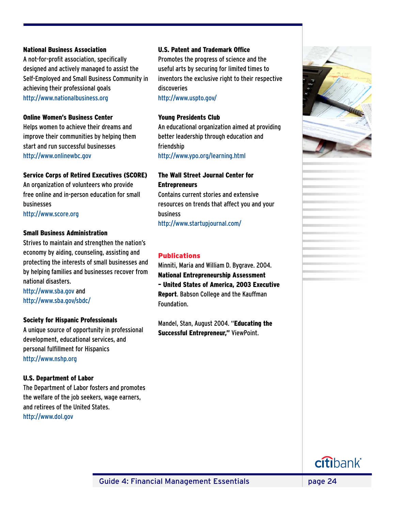#### National Business Association

A not-for-profit association, specifically designed and actively managed to assist the Self-Employed and Small Business Community in achieving their professional goals http://www.nationalbusiness.org

#### Online Women's Business Center

Helps women to achieve their dreams and improve their communities by helping them start and run successful businesses http://www.onlinewbc.gov

#### Service Corps of Retired Executives (SCORE)

An organization of volunteers who provide free online and in-person education for small businesses

http://www.score.org

#### Small Business Administration

Strives to maintain and strengthen the nation's economy by aiding, counseling, assisting and protecting the interests of small businesses and by helping families and businesses recover from national disasters.

http://www.sba.gov and http://www.sba.gov/sbdc/

#### Society for Hispanic Professionals

A unique source of opportunity in professional development, educational services, and personal fulfillment for Hispanics http://www.nshp.org

#### U.S. Department of Labor

The Department of Labor fosters and promotes the welfare of the job seekers, wage earners, and retirees of the United States. http://www.dol.gov

#### U.S. Patent and Trademark Office

Promotes the progress of science and the useful arts by securing for limited times to inventors the exclusive right to their respective discoveries

http://www.uspto.gov/

#### Young Presidents Club

An educational organization aimed at providing better leadership through education and friendship http://www.ypo.org/learning.html

# The Wall Street Journal Center for **Entrepreneurs**

Contains current stories and extensive resources on trends that affect you and your business http://www.startupjournal.com/

#### Publications

Minniti, Maria and William D. Bygrave. 2004. National Entrepreneurship Assessment – United States of America, 2003 Executive Report. Babson College and the Kauffman Foundation.

Mandel, Stan, August 2004. "Educating the Successful Entrepreneur," ViewPoint.